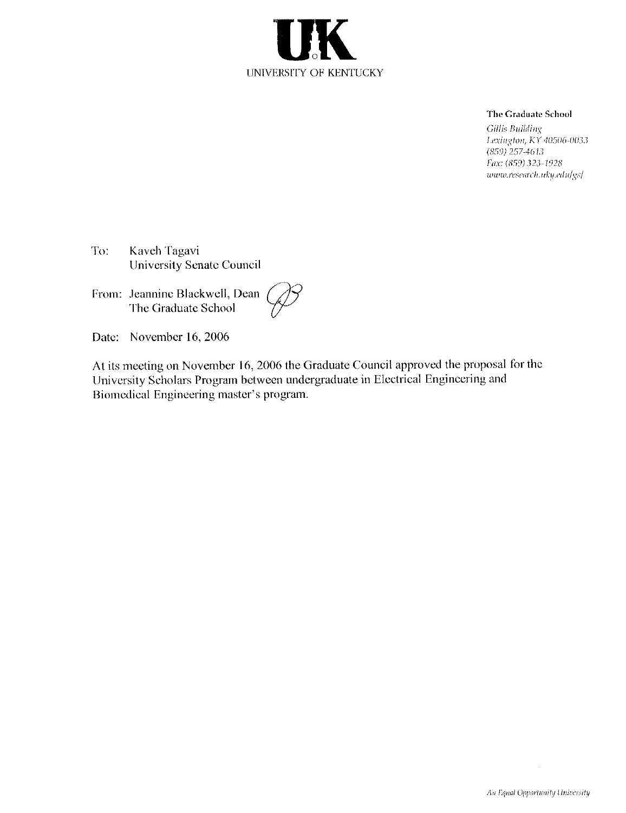

#### The Graduate School

Gillis Building Lexington, KY 40506-0033  $(859)$  257-4613 Fax: (859) 323-1928 www.research.uky.edu/gs/

To: Kaveh Tagavi University Senate Council

From: Jeannine Blackwell, Dean The Graduate School

Date: November 16, 2006

At its meeting on November 16, 2006 the Graduate Council approved the proposal for the University Scholars Program between undergraduate in Electrical Engineering and Biomedical Engineering master's program.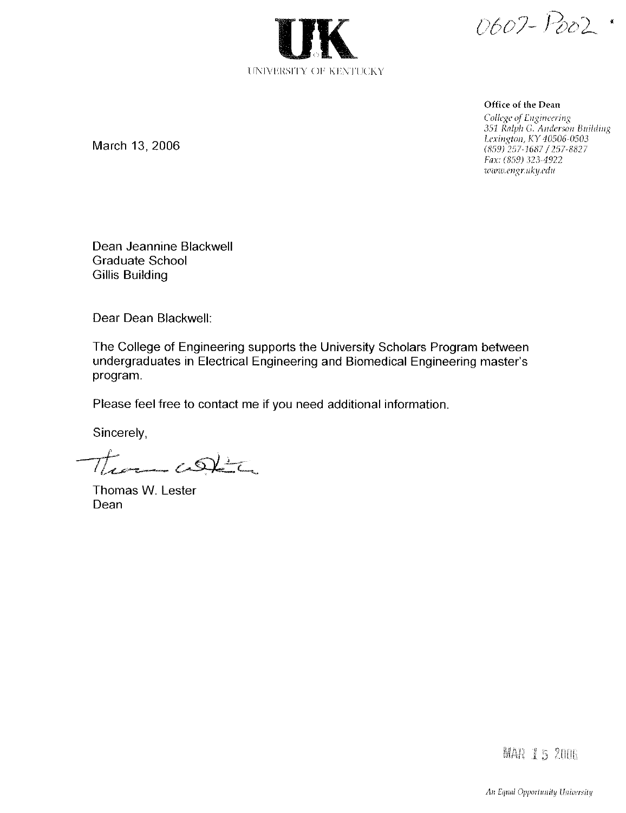UNIVERSITY OF KENTUCKY

0607-Poo2.

Office of the Dean

College of Engineering 351 Ralph G. Anderson Building Lexington, KY 40506-0503<br>(859) 257-1687 / 257-8827 Fax: (859) 323-4922 www.engr.uky.edu

March 13, 2006

Dean Jeannine Blackwell **Graduate School Gillis Building** 

Dear Dean Blackwell:

The College of Engineering supports the University Scholars Program between undergraduates in Electrical Engineering and Biomedical Engineering master's program.

Please feel free to contact me if you need additional information.

Sincerely,

 $\mathcal{T}_{\text{norm}}$  continuously

Thomas W. Lester Dean

**MAR 15 2006**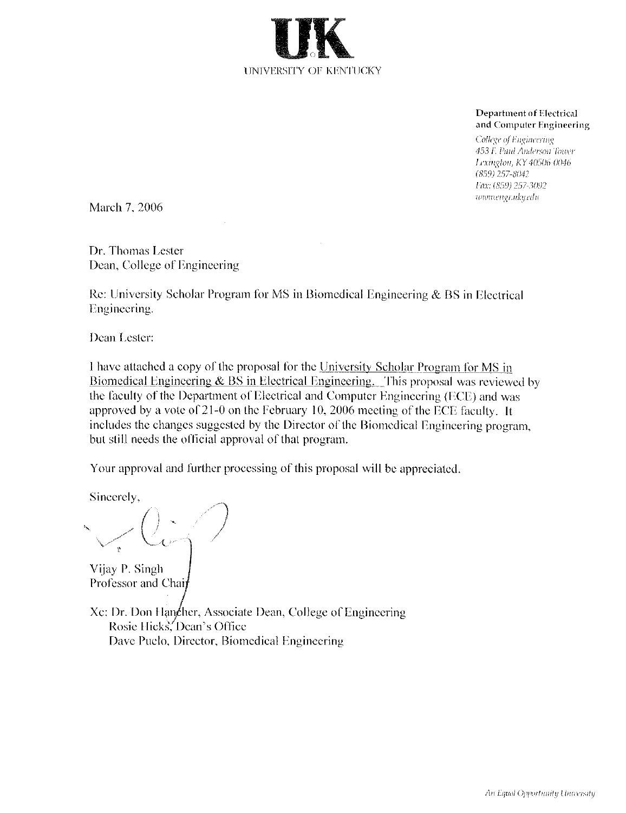

**Department of Electrical** and Computer Engineering

College of Engineering 453 F. Paul Anderson Tower Lexington, KY 40506-0046  $(859)$  257-8042 Fax: (859) 257-3092 www.engr.uky.edu

March 7, 2006

Dr. Thomas Lester Dean, College of Engineering

Re: University Scholar Program for MS in Biomedical Engineering & BS in Electrical Engineering.

Dean Lester:

I have attached a copy of the proposal for the University Scholar Program for MS in Biomedical Engineering  $\&$  BS in Electrical Engineering. This proposal was reviewed by the faculty of the Department of Electrical and Computer Engineering (ECE) and was approved by a vote of 21-0 on the February 10, 2006 meeting of the ECE faculty. It includes the changes suggested by the Director of the Biomedical Engineering program, but still needs the official approval of that program.

Your approval and further processing of this proposal will be appreciated.

Sincerely,

Vijay P. Singh Professor and Chai

Xc: Dr. Don Hangher, Associate Dean, College of Engineering Rosie Hicks. Dean's Office Dave Puelo, Director, Biomedical Engineering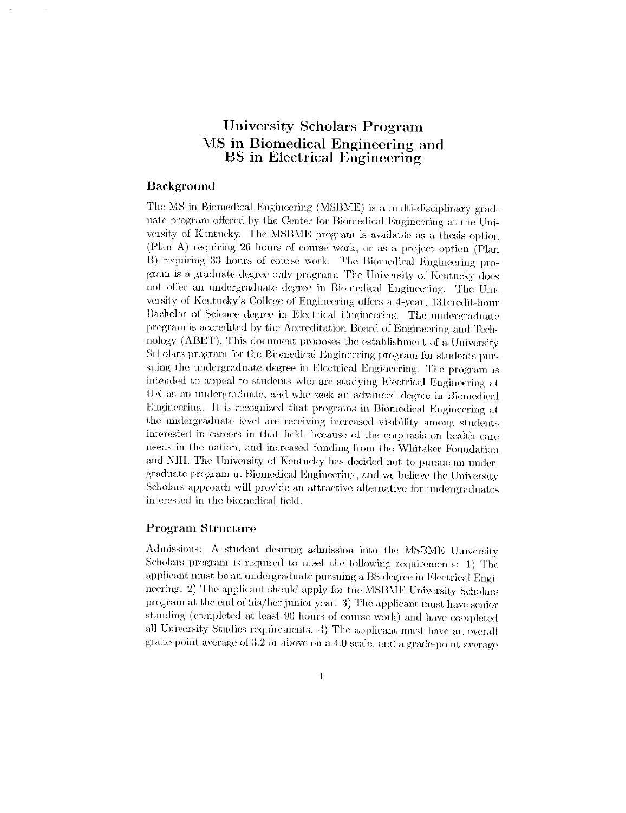# University Scholars Program MS in Biomedical Engineering and **BS** in Electrical Engineering

### **Background**

The MS in Biomedical Engineering (MSBME) is a multi-disciplinary graduate program offered by the Center for Biomedical Engineering at the University of Kentucky. The MSBME program is available as a thesis option (Plan A) requiring 26 hours of course work, or as a project option (Plan B) requiring 33 hours of course work. The Biomedical Engineering program is a graduate degree only program: The University of Kentucky does not offer an undergraduate degree in Biomedical Engineering. The University of Kentucky's College of Engineering offers a 4-year, 131credit-hour Bachelor of Science degree in Electrical Engineering. The undergraduate program is accredited by the Accreditation Board of Engineering and Technology (ABET). This document proposes the establishment of a University Scholars program for the Biomedical Engineering program for students pursuing the undergraduate degree in Electrical Engineering. The program is intended to appeal to students who are studying Electrical Engineering at UK as an undergraduate, and who seek an advanced degree in Biomedical Engineering. It is recognized that programs in Biomedical Engineering at the undergraduate level are receiving increased visibility among students interested in careers in that field, because of the emphasis on health care needs in the nation, and increased funding from the Whitaker Foundation and NIH. The University of Kentucky has decided not to pursue an undergraduate program in Biomedical Engineering, and we believe the University Scholars approach will provide an attractive alternative for undergraduates interested in the biomedical field.

#### **Program Structure**

Admissions: A student desiring admission into the MSBME University Scholars program is required to meet the following requirements: 1) The applicant must be an undergraduate pursuing a BS degree in Electrical Engineering. 2) The applicant should apply for the MSBME University Scholars program at the end of his/her junior year. 3) The applicant must have senior standing (completed at least 90 hours of course work) and have completed all University Studies requirements. 4) The applicant must have an overall grade-point average of 3.2 or above on a 4.0 scale, and a grade-point average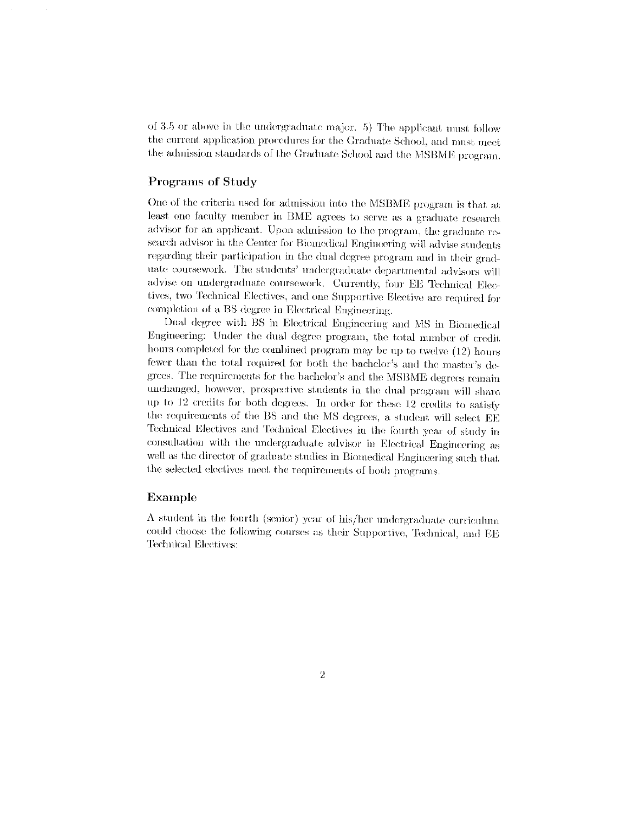of 3.5 or above in the undergraduate major. 5) The applicant must follow the current application procedures for the Graduate School, and must meet the admission standards of the Graduate School and the MSBME program.

#### Programs of Study

One of the criteria used for admission into the MSBME program is that at least one faculty member in BME agrees to serve as a graduate research advisor for an applicant. Upon admission to the program, the graduate research advisor in the Center for Biomedical Engineering will advise students regarding their participation in the dual degree program and in their graduate coursework. The students' undergraduate departmental advisors will advise on undergraduate coursework. Currently, four EE Technical Electives, two Technical Electives, and one Supportive Elective are required for completion of a BS degree in Electrical Engineering.

Dual degree with BS in Electrical Engineering and MS in Biomedical Engineering: Under the dual degree program, the total number of credit hours completed for the combined program may be up to twelve (12) hours fewer than the total required for both the bachelor's and the master's degrees. The requirements for the bachelor's and the MSBME degrees remain unchanged, however, prospective students in the dual program will share up to 12 credits for both degrees. In order for these 12 credits to satisfy the requirements of the BS and the MS degrees, a student will select EE Technical Electives and Technical Electives in the fourth year of study in consultation with the undergraduate advisor in Electrical Engineering as well as the director of graduate studies in Biomedical Engineering such that the selected electives meet the requirements of both programs.

#### Example

A student in the fourth (senior) year of his/her undergraduate curriculum could choose the following courses as their Supportive, Technical, and EE Technical Electives: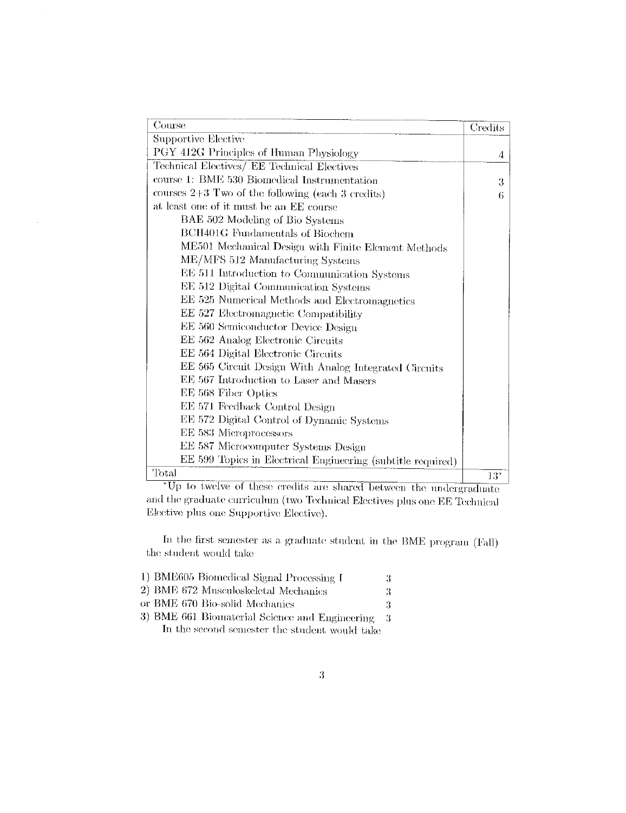| Course                                                      | Credits |
|-------------------------------------------------------------|---------|
| Supportive Elective                                         |         |
| PGY 412G Principles of Human Physiology                     | 4       |
| Technical Electives/ EE Technical Electives                 |         |
| course 1: BME 530 Biomedical Instrumentation                | 3       |
| courses $2+3$ Two of the following (each 3 credits)         | 6       |
| at least one of it must be an EE course                     |         |
| BAE 502 Modeling of Bio Systems                             |         |
| BCH401G Fundamentals of Biochem                             |         |
| ME501 Mechanical Design with Finite Element Methods         |         |
| ME/MFS 512 Manufacturing Systems                            |         |
| EE 511 Introduction to Communication Systems                |         |
| EE 512 Digital Communication Systems                        |         |
| EE 525 Numerical Methods and Electromagnetics               |         |
| EE 527 Electromagnetic Compatibility                        |         |
| EE 560 Semiconductor Device Design                          |         |
| EE 562 Analog Electronic Circuits                           |         |
| EE 564 Digital Electronic Circuits                          |         |
| EE 565 Circuit Design With Analog Integrated Circuits       |         |
| EE 567 Introduction to Laser and Masers                     |         |
| EE 568 Fiber Optics                                         |         |
| EE 571 Feedback Control Design                              |         |
| EE 572 Digital Control of Dynamic Systems                   |         |
| EE 583 Microprocessors                                      |         |
| EE 587 Microcomputer Systems Design                         |         |
| EE 599 Topics in Electrical Engineering (subtitle required) |         |
| Total                                                       | $13*$   |

\*Up to twelve of these credits are shared between the undergraduate and the graduate curriculum (two Technical Electives plus one EE Technical Elective plus one Supportive Elective).

In the first semester as a graduate student in the BME program (Fall) the student would take

| 1) BME605 Biomedical Signal Processing I       | З  |
|------------------------------------------------|----|
| 2) BME 672 Musculoskeletal Mechanics           | 3  |
| or BME 670 Bio-solid Mechanics                 | З  |
| 3) BME 661 Biomaterial Science and Engineering | -3 |
| In the second semester the student would take  |    |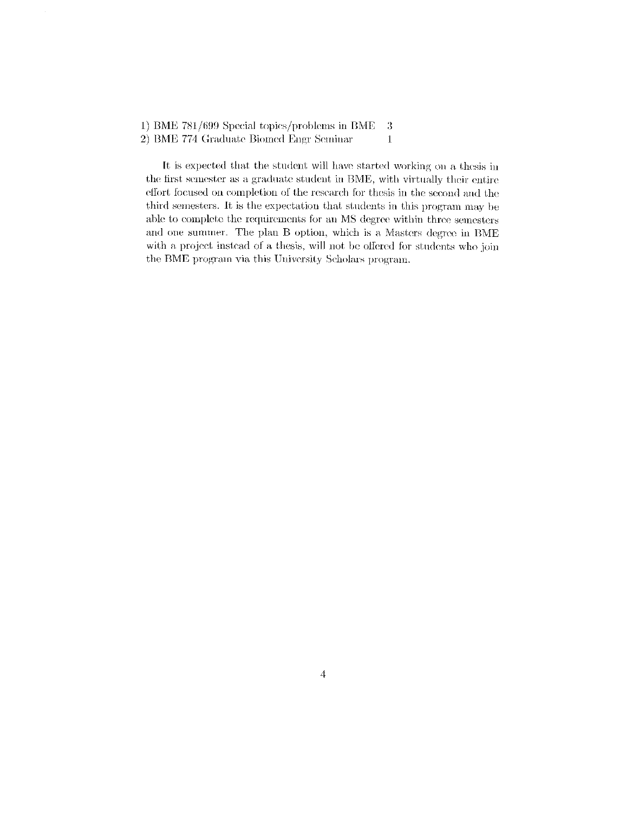1) BME 781/699 Special topics/problems in BME -3

2) BME 774 Graduate Biomed Engr Seminar

It is expected that the student will have started working on a thesis in the first semester as a graduate student in BME, with virtually their entire effort focused on completion of the research for thesis in the second and the third semesters. It is the expectation that students in this program may be able to complete the requirements for an MS degree within three semesters and one summer. The plan B option, which is a Masters degree in BME with a project instead of a thesis, will not be offered for students who join the BME program via this University Scholars program.

 $\bf{l}$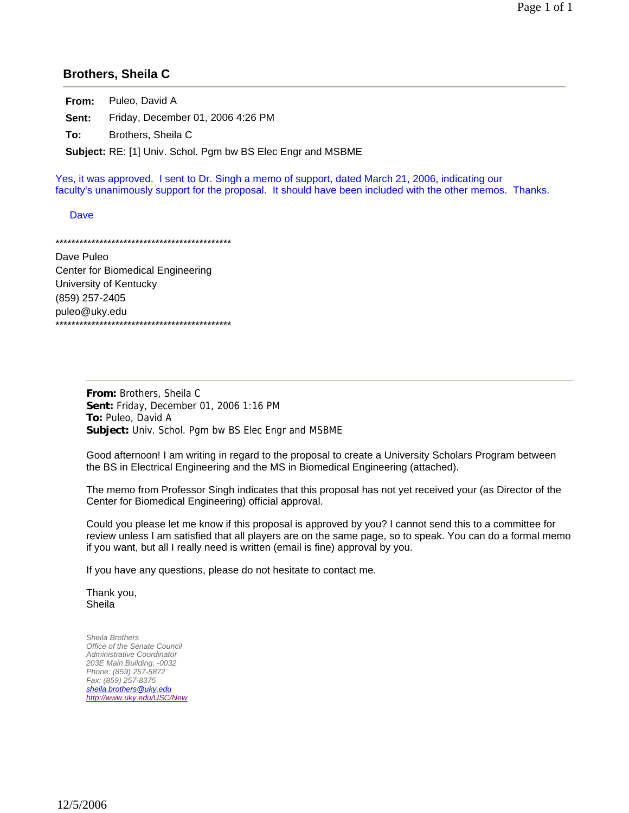### **Brothers, Sheila C**

**From:** Puleo, David A **Sent:** Friday, December 01, 2006 4:26 PM

**To:** Brothers, Sheila C

**Subject:** RE: [1] Univ. Schol. Pgm bw BS Elec Engr and MSBME

Yes, it was approved. I sent to Dr. Singh a memo of support, dated March 21, 2006, indicating our faculty's unanimously support for the proposal. It should have been included with the other memos. Thanks.

**Dave** 

\*\*\*\*\*\*\*\*\*\*\*\*\*\*\*\*\*\*\*\*\*\*\*\*\*\*\*\*\*\*\*\*\*\*\*\*\*\*\*\*\*\*\*\*

Dave Puleo Center for Biomedical Engineering University of Kentucky (859) 257-2405 puleo@uky.edu \*\*\*\*\*\*\*\*\*\*\*\*\*\*\*\*\*\*\*\*\*\*\*\*\*\*\*\*\*\*\*\*\*\*\*\*\*\*\*\*\*\*\*\*

> **From:** Brothers, Sheila C **Sent:** Friday, December 01, 2006 1:16 PM **To:** Puleo, David A **Subject:** Univ. Schol. Pgm bw BS Elec Engr and MSBME

Good afternoon! I am writing in regard to the proposal to create a University Scholars Program between the BS in Electrical Engineering and the MS in Biomedical Engineering (attached).

The memo from Professor Singh indicates that this proposal has not yet received your (as Director of the Center for Biomedical Engineering) official approval.

Could you please let me know if this proposal is approved by you? I cannot send this to a committee for review unless I am satisfied that all players are on the same page, so to speak. You can do a formal memo if you want, but all I really need is written (email is fine) approval by you.

If you have any questions, please do not hesitate to contact me.

Thank you, Sheila

*Sheila Brothers Office of the Senate Council Administrative Coordinator 203E Main Building, -0032 Phone: (859) 257-5872 Fax: (859) 257-8375 sheila.brothers@uky.edu http://www.uky.edu/USC/New*